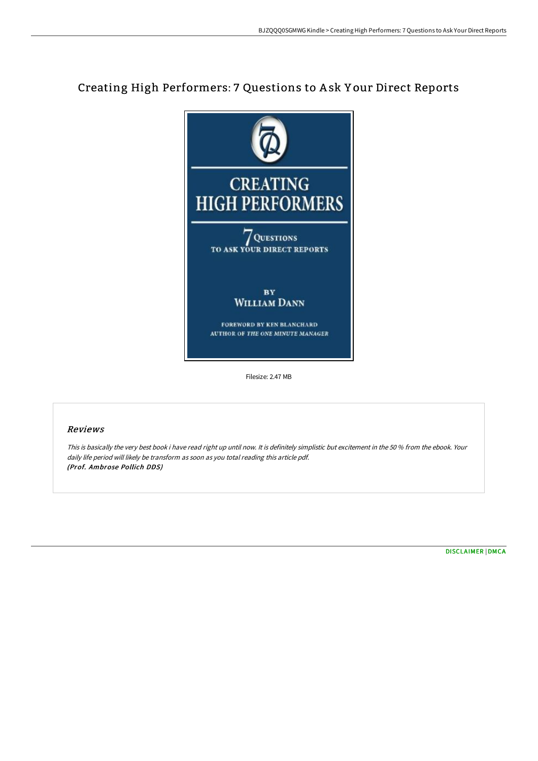## Creating High Performers: 7 Questions to A sk Y our Direct Reports



Filesize: 2.47 MB

## Reviews

This is basically the very best book i have read right up until now. It is definitely simplistic but excitement in the <sup>50</sup> % from the ebook. Your daily life period will likely be transform as soon as you total reading this article pdf. (Prof. Ambrose Pollich DDS)

[DISCLAIMER](http://techno-pub.tech/disclaimer.html) | [DMCA](http://techno-pub.tech/dmca.html)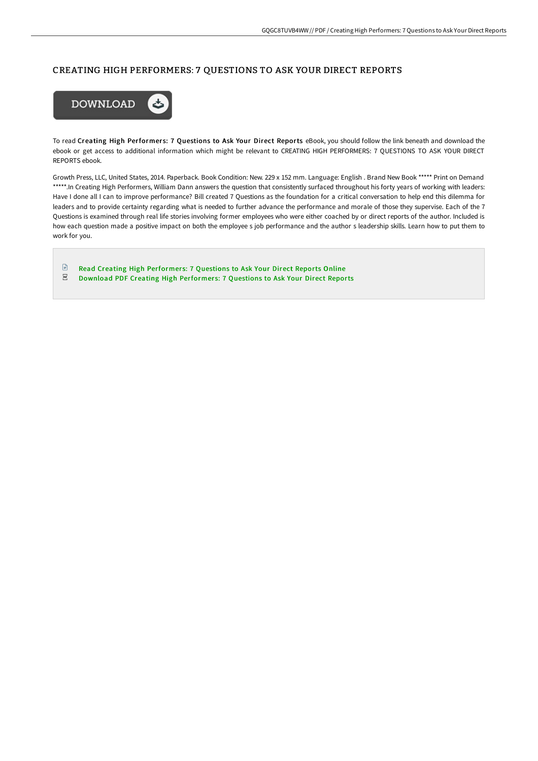## CREATING HIGH PERFORMERS: 7 QUESTIONS TO ASK YOUR DIRECT REPORTS



To read Creating High Performers: 7 Questions to Ask Your Direct Reports eBook, you should follow the link beneath and download the ebook or get access to additional information which might be relevant to CREATING HIGH PERFORMERS: 7 QUESTIONS TO ASK YOUR DIRECT REPORTS ebook.

Growth Press, LLC, United States, 2014. Paperback. Book Condition: New. 229 x 152 mm. Language: English . Brand New Book \*\*\*\*\* Print on Demand \*\*\*\*\*.In Creating High Performers, William Dann answers the question that consistently surfaced throughout his forty years of working with leaders: Have I done all I can to improve performance? Bill created 7 Questions as the foundation for a critical conversation to help end this dilemma for leaders and to provide certainty regarding what is needed to further advance the performance and morale of those they supervise. Each of the 7 Questions is examined through real life stories involving former employees who were either coached by or direct reports of the author. Included is how each question made a positive impact on both the employee s job performance and the author s leadership skills. Learn how to put them to work for you.

 $\mathbb{P}$ Read Creating High [Performer](http://techno-pub.tech/creating-high-performers-7-questions-to-ask-your.html)s: 7 Questions to Ask Your Direct Reports Online  $_{\rm PDF}$ Download PDF Creating High [Performer](http://techno-pub.tech/creating-high-performers-7-questions-to-ask-your.html)s: 7 Questions to Ask Your Direct Reports